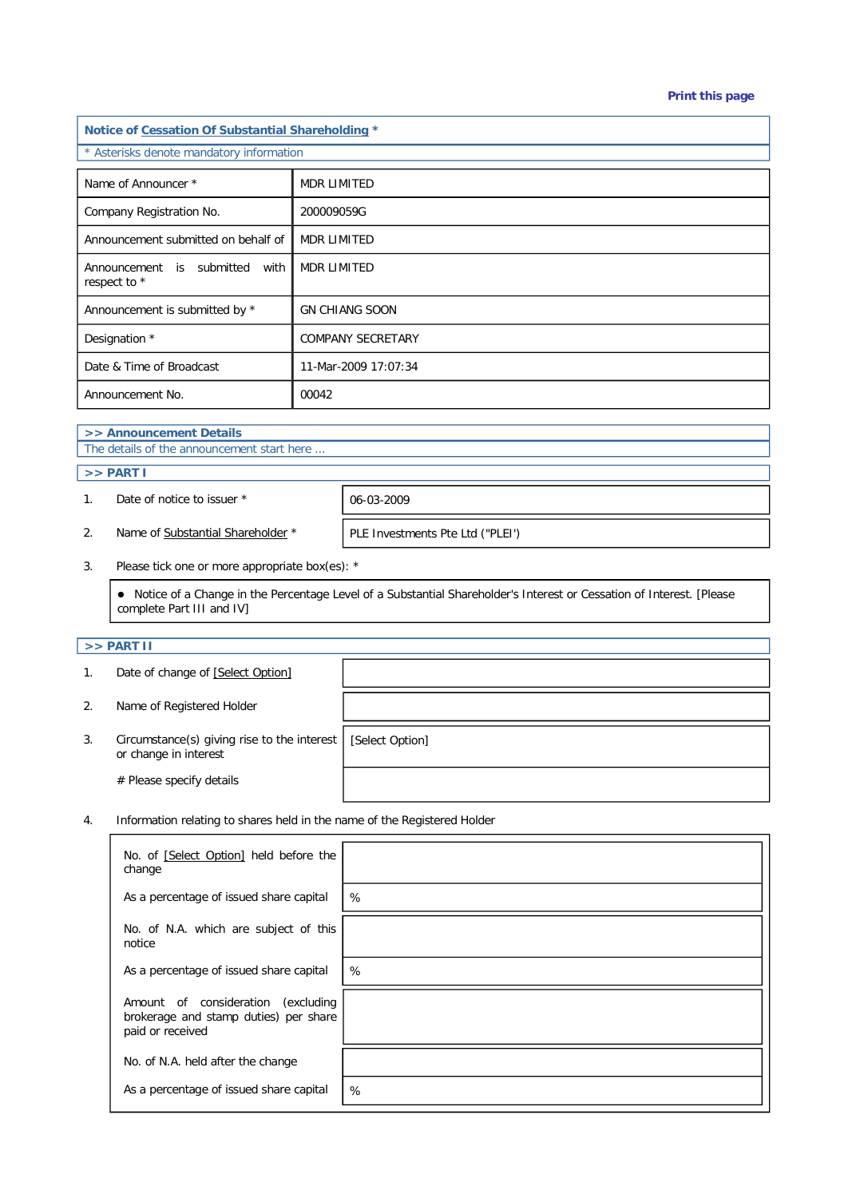#### **Print this page**

| Notice of Cessation Of Substantial Shareholding * |                          |  |  |  |
|---------------------------------------------------|--------------------------|--|--|--|
| * Asterisks denote mandatory information          |                          |  |  |  |
| Name of Announcer *                               | <b>MDR LIMITED</b>       |  |  |  |
| Company Registration No.                          | 200009059G               |  |  |  |
| Announcement submitted on behalf of               | <b>MDR LIMITED</b>       |  |  |  |
| Announcement is submitted<br>with<br>respect to * | <b>MDR LIMITED</b>       |  |  |  |
| Announcement is submitted by *                    | <b>GN CHIANG SOON</b>    |  |  |  |
| Designation *                                     | <b>COMPANY SECRETARY</b> |  |  |  |
| Date & Time of Broadcast                          | 11-Mar-2009 17:07:34     |  |  |  |
| Announcement No.                                  | 00042                    |  |  |  |

# **>> Announcement Details**

The details of the announcement start here ...

#### **>> PART I**

1. Date of notice to issuer  $*$  06-03-2009

2. Name of Substantial Shareholder \* PLE Investments Pte Ltd ("PLEI")

3. Please tick one or more appropriate box(es): \*

 Notice of a Change in the Percentage Level of a Substantial Shareholder's Interest or Cessation of Interest. [Please complete Part III and IV]

## **>> PART II**

| 1. | Date of change of [Select Option]                                    |                 |
|----|----------------------------------------------------------------------|-----------------|
| 2. | Name of Registered Holder                                            |                 |
| 3. | Circumstance(s) giving rise to the interest<br>or change in interest | [Select Option] |
|    | # Please specify details                                             |                 |

4. Information relating to shares held in the name of the Registered Holder

| No. of [Select Option] held before the<br>change                                                   |   |
|----------------------------------------------------------------------------------------------------|---|
| As a percentage of issued share capital                                                            | % |
| No. of N.A. which are subject of this<br>notice                                                    |   |
| As a percentage of issued share capital                                                            | % |
| Amount of consideration<br>(excluding<br>brokerage and stamp duties) per share<br>paid or received |   |
| No. of N.A. held after the change                                                                  |   |
| As a percentage of issued share capital                                                            | % |